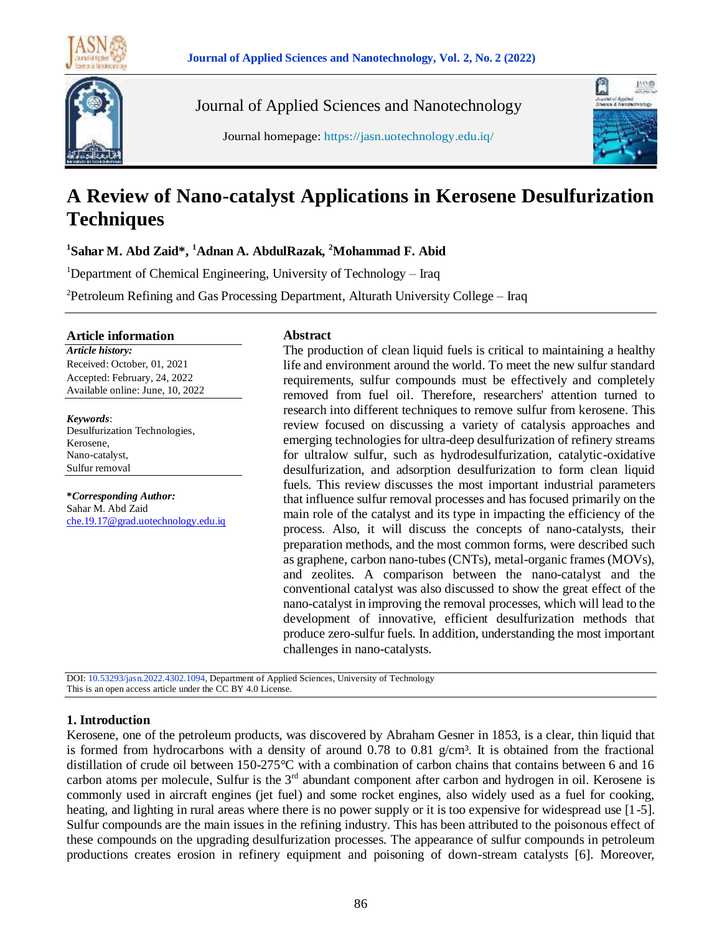



Journal of Applied Sciences and Nanotechnology





# **A Review of Nano-catalyst Applications in Kerosene Desulfurization Techniques**

**1 Sahar M. Abd Zaid\*, <sup>1</sup>Adnan A. AbdulRazak, <sup>2</sup>Mohammad F. Abid**

<sup>1</sup>Department of Chemical Engineering, University of Technology – Iraq

<sup>2</sup>Petroleum Refining and Gas Processing Department, Alturath University College – Iraq

#### **Article information**

*Article history:* Received: October, 01, 2021 Accepted: February, 24, 2022 Available online: June, 10, 2022

*Keywords*: Desulfurization Technologies, Kerosene, Nano-catalyst, Sulfur removal

**\****Corresponding Author:* Sahar M. Abd Zaid [che.19.17@grad.uotechnology.edu.iq](mailto:che.19.17@grad.uotechnology.edu.iq)

#### **Abstract**

The production of clean liquid fuels is critical to maintaining a healthy life and environment around the world. To meet the new sulfur standard requirements, sulfur compounds must be effectively and completely removed from fuel oil. Therefore, researchers' attention turned to research into different techniques to remove sulfur from kerosene. This review focused on discussing a variety of catalysis approaches and emerging technologies for ultra-deep desulfurization of refinery streams for ultralow sulfur, such as hydrodesulfurization, catalytic-oxidative desulfurization, and adsorption desulfurization to form clean liquid fuels. This review discusses the most important industrial parameters that influence sulfur removal processes and has focused primarily on the main role of the catalyst and its type in impacting the efficiency of the process. Also, it will discuss the concepts of nano-catalysts, their preparation methods, and the most common forms, were described such as graphene, carbon nano-tubes (CNTs), metal-organic frames (MOVs), and zeolites. A comparison between the nano-catalyst and the conventional catalyst was also discussed to show the great effect of the nano-catalyst in improving the removal processes, which will lead to the development of innovative, efficient desulfurization methods that produce zero-sulfur fuels. In addition, understanding the most important challenges in nano-catalysts.

DOI: 10.53293/jasn.2022.4302.1094, Department of Applied Sciences, University of Technology This is an open access article under the CC BY 4.0 License.

## **1. Introduction**

Kerosene, one of the petroleum products, was discovered by Abraham Gesner in 1853, is a clear, thin liquid that is formed from hydrocarbons with a density of around 0.78 to 0.81 g/cm<sup>3</sup>. It is obtained from the fractional distillation of crude oil between 150-275°C with a combination of carbon chains that contains between 6 and 16 carbon atoms per molecule, Sulfur is the 3<sup>rd</sup> abundant component after carbon and hydrogen in oil. Kerosene is commonly used in aircraft engines (jet fuel) and some rocket engines, also widely used as a fuel for cooking, heating, and lighting in rural areas where there is no power supply or it is too expensive for widespread use [1-5]. Sulfur compounds are the main issues in the refining industry. This has been attributed to the poisonous effect of these compounds on the upgrading desulfurization processes. The appearance of sulfur compounds in petroleum productions creates erosion in refinery equipment and poisoning of down-stream catalysts [6]. Moreover,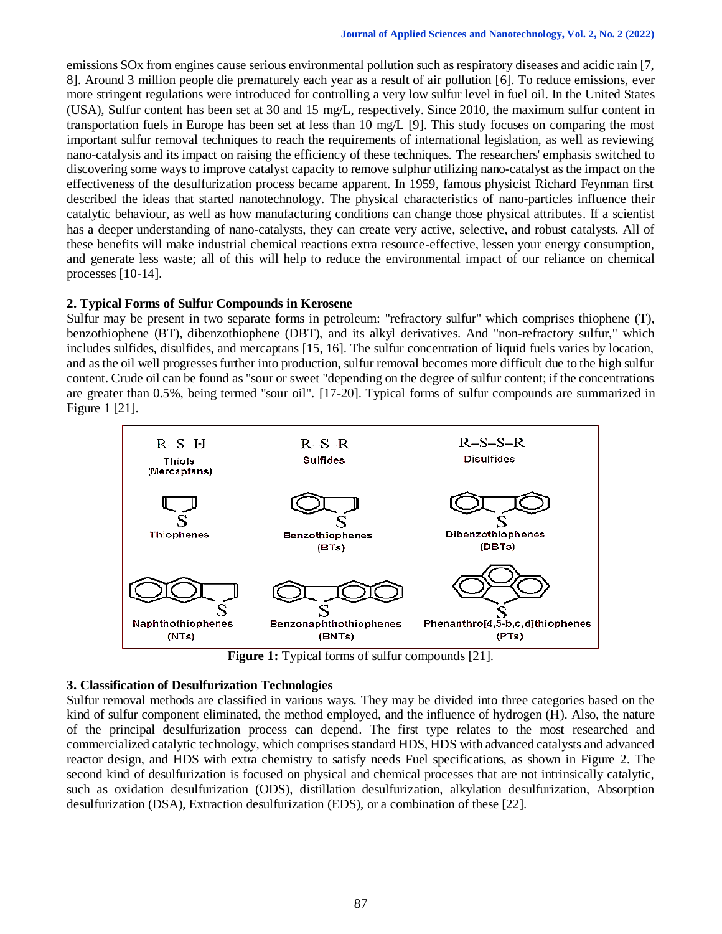emissions SOx from engines cause serious environmental pollution such as respiratory diseases and acidic rain [7, 8]. Around 3 million people die prematurely each year as a result of air pollution [6]. To reduce emissions, ever more stringent regulations were introduced for controlling a very low sulfur level in fuel oil. In the United States (USA), Sulfur content has been set at 30 and 15 mg/L, respectively. Since 2010, the maximum sulfur content in transportation fuels in Europe has been set at less than 10 mg/L [9]. This study focuses on comparing the most important sulfur removal techniques to reach the requirements of international legislation, as well as reviewing nano-catalysis and its impact on raising the efficiency of these techniques. The researchers' emphasis switched to discovering some ways to improve catalyst capacity to remove sulphur utilizing nano-catalyst as the impact on the effectiveness of the desulfurization process became apparent. In 1959, famous physicist Richard Feynman first described the ideas that started nanotechnology. The physical characteristics of nano-particles influence their catalytic behaviour, as well as how manufacturing conditions can change those physical attributes. If a scientist has a deeper understanding of nano-catalysts, they can create very active, selective, and robust catalysts. All of these benefits will make industrial chemical reactions extra resource-effective, lessen your energy consumption, and generate less waste; all of this will help to reduce the environmental impact of our reliance on chemical processes [10-14].

# **2. Typical Forms of Sulfur Compounds in Kerosene**

Sulfur may be present in two separate forms in petroleum: "refractory sulfur" which comprises thiophene (T), benzothiophene (BT), dibenzothiophene (DBT), and its alkyl derivatives. And "non-refractory sulfur," which includes sulfides, disulfides, and mercaptans [15, 16]. The sulfur concentration of liquid fuels varies by location, and as the oil well progresses further into production, sulfur removal becomes more difficult due to the high sulfur content. Crude oil can be found as "sour or sweet "depending on the degree of sulfur content; if the concentrations are greater than 0.5%, being termed "sour oil". [17-20]. Typical forms of sulfur compounds are summarized in Figure 1 [21].



**Figure 1:** Typical forms of sulfur compounds [21].

## **3. Classification of Desulfurization Technologies**

Sulfur removal methods are classified in various ways. They may be divided into three categories based on the kind of sulfur component eliminated, the method employed, and the influence of hydrogen (H). Also, the nature of the principal desulfurization process can depend. The first type relates to the most researched and commercialized catalytic technology, which comprises standard HDS, HDS with advanced catalysts and advanced reactor design, and HDS with extra chemistry to satisfy needs Fuel specifications, as shown in Figure 2. The second kind of desulfurization is focused on physical and chemical processes that are not intrinsically catalytic, such as oxidation desulfurization (ODS), distillation desulfurization, alkylation desulfurization, Absorption desulfurization (DSA), Extraction desulfurization (EDS), or a combination of these [22].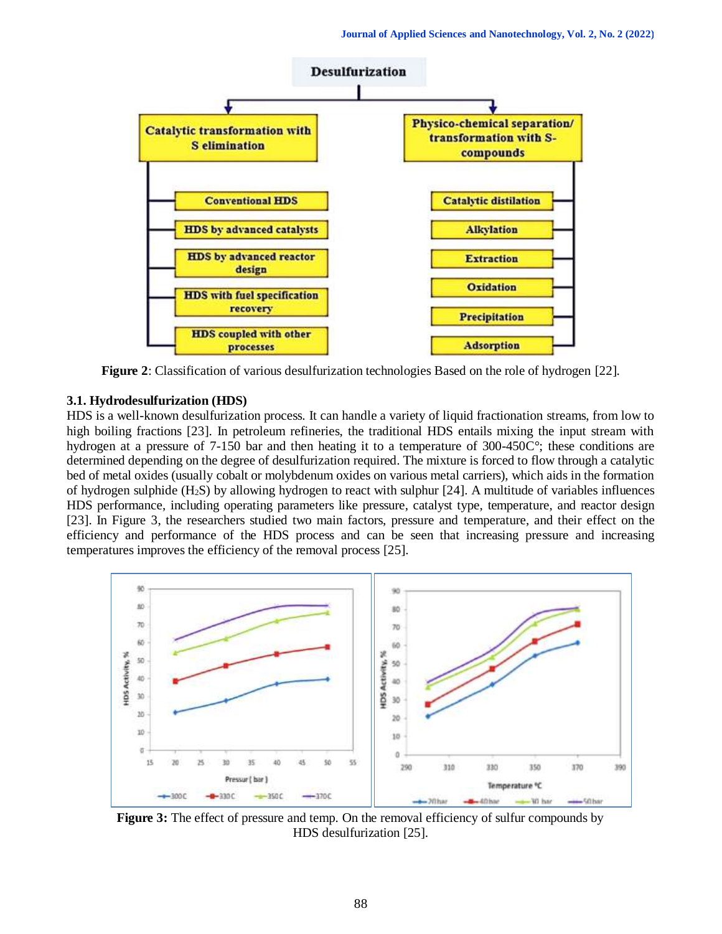

**Figure 2**: Classification of various desulfurization technologies Based on the role of hydrogen [22].

# **3.1. Hydrodesulfurization (HDS)**

HDS is a well-known desulfurization process. It can handle a variety of liquid fractionation streams, from low to high boiling fractions [23]. In petroleum refineries, the traditional HDS entails mixing the input stream with hydrogen at a pressure of 7-150 bar and then heating it to a temperature of 300-450C°; these conditions are determined depending on the degree of desulfurization required. The mixture is forced to flow through a catalytic bed of metal oxides (usually cobalt or molybdenum oxides on various metal carriers), which aids in the formation of hydrogen sulphide (H2S) by allowing hydrogen to react with sulphur [24]. A multitude of variables influences HDS performance, including operating parameters like pressure, catalyst type, temperature, and reactor design [23]. In Figure 3, the researchers studied two main factors, pressure and temperature, and their effect on the efficiency and performance of the HDS process and can be seen that increasing pressure and increasing temperatures improves the efficiency of the removal process [25].



**Figure 3:** The effect of pressure and temp. On the removal efficiency of sulfur compounds by HDS desulfurization [25].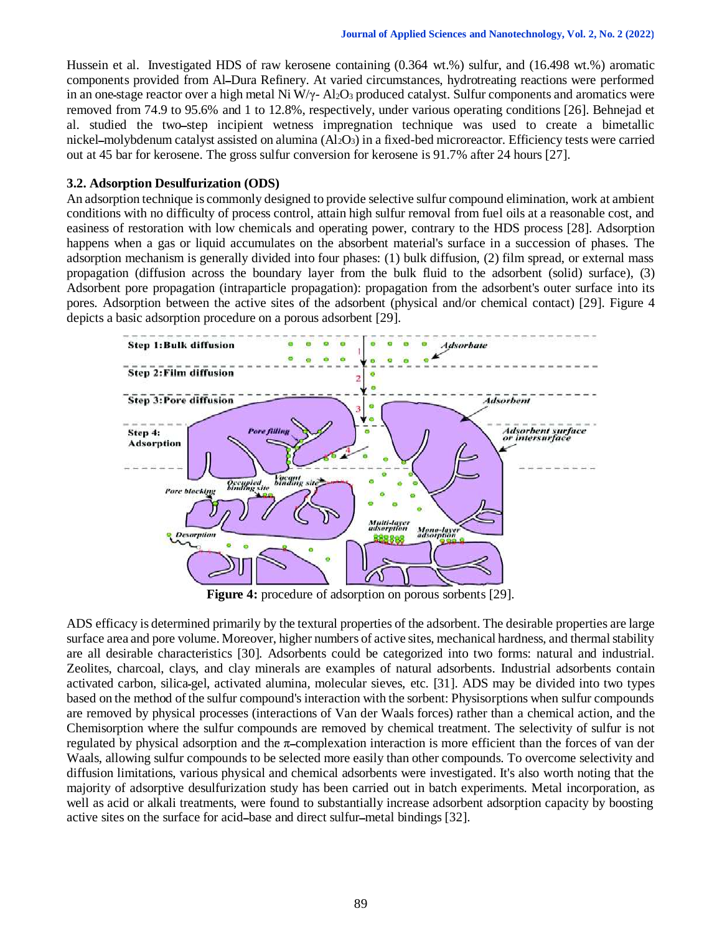Hussein et al. Investigated HDS of raw kerosene containing (0.364 wt.%) sulfur, and (16.498 wt.%) aromatic components provided from AlــDura Refinery. At varied circumstances, hydrotreating reactions were performed in an one-stage reactor over a high metal Ni W/γ- Al<sub>2</sub>O<sub>3</sub> produced catalyst. Sulfur components and aromatics were removed from 74.9 to 95.6% and 1 to 12.8%, respectively, under various operating conditions [26]. Behnejad et al. studied the two-step incipient wetness impregnation technique was used to create a bimetallic nickel-molybdenum catalyst assisted on alumina  $(A_1_2O_3)$  in a fixed-bed microreactor. Efficiency tests were carried out at 45 bar for kerosene. The gross sulfur conversion for kerosene is 91.7% after 24 hours [27].

#### **3.2. Adsorption Desulfurization (ODS)**

An adsorption technique is commonly designed to provide selective sulfur compound elimination, work at ambient conditions with no difficulty of process control, attain high sulfur removal from fuel oils at a reasonable cost, and easiness of restoration with low chemicals and operating power, contrary to the HDS process [28]. Adsorption happens when a gas or liquid accumulates on the absorbent material's surface in a succession of phases. The adsorption mechanism is generally divided into four phases: (1) bulk diffusion, (2) film spread, or external mass propagation (diffusion across the boundary layer from the bulk fluid to the adsorbent (solid) surface), (3) Adsorbent pore propagation (intraparticle propagation): propagation from the adsorbent's outer surface into its pores. Adsorption between the active sites of the adsorbent (physical and/or chemical contact) [29]. Figure 4 depicts a basic adsorption procedure on a porous adsorbent [29].



**Figure 4:** procedure of adsorption on porous sorbents [29].

ADS efficacy is determined primarily by the textural properties of the adsorbent. The desirable properties are large surface area and pore volume. Moreover, higher numbers of active sites, mechanical hardness, and thermal stability are all desirable characteristics [30]. Adsorbents could be categorized into two forms: natural and industrial. Zeolites, charcoal, clays, and clay minerals are examples of natural adsorbents. Industrial adsorbents contain activated carbon, silicaـgel, activated alumina, molecular sieves, etc. [31]. ADS may be divided into two types based on the method of the sulfur compound's interaction with the sorbent: Physisorptions when sulfur compounds are removed by physical processes (interactions of Van der Waals forces) rather than a chemical action, and the Chemisorption where the sulfur compounds are removed by chemical treatment. The selectivity of sulfur is not regulated by physical adsorption and the πــcomplexation interaction is more efficient than the forces of van der Waals, allowing sulfur compounds to be selected more easily than other compounds. To overcome selectivity and diffusion limitations, various physical and chemical adsorbents were investigated. It's also worth noting that the majority of adsorptive desulfurization study has been carried out in batch experiments. Metal incorporation, as well as acid or alkali treatments, were found to substantially increase adsorbent adsorption capacity by boosting active sites on the surface for acidــbase and direct sulfurــmetal bindings [32].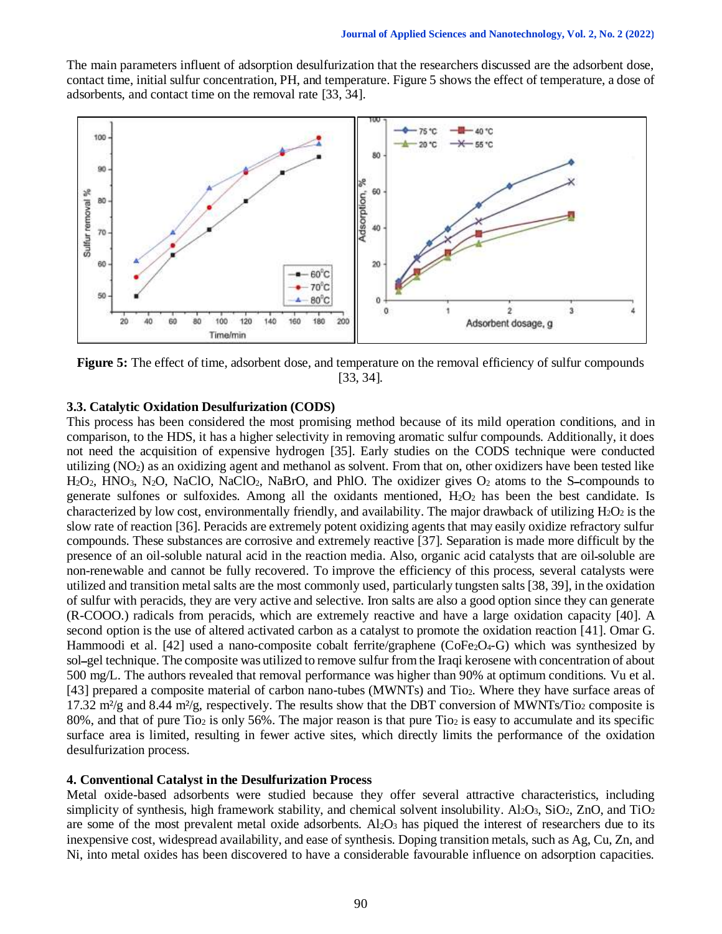The main parameters influent of adsorption desulfurization that the researchers discussed are the adsorbent dose, contact time, initial sulfur concentration, PH, and temperature. Figure 5 shows the effect of temperature, a dose of adsorbents, and contact time on the removal rate [33, 34].



**Figure 5:** The effect of time, adsorbent dose, and temperature on the removal efficiency of sulfur compounds [33, 34].

#### **3.3. Catalytic Oxidation Desulfurization (CODS)**

This process has been considered the most promising method because of its mild operation conditions, and in comparison, to the HDS, it has a higher selectivity in removing aromatic sulfur compounds. Additionally, it does not need the acquisition of expensive hydrogen [35]. Early studies on the CODS technique were conducted utilizing (NO2) as an oxidizing agent and methanol as solvent. From that on, other oxidizers have been tested like H2O2, HNO3, N2O, NaClO, NaClO2, NaBrO, and PhlO. The oxidizer gives O<sup>2</sup> atoms to the Sــcompounds to generate sulfones or sulfoxides. Among all the oxidants mentioned,  $H_2O_2$  has been the best candidate. Is characterized by low cost, environmentally friendly, and availability. The major drawback of utilizing  $H_2O_2$  is the slow rate of reaction [36]. Peracids are extremely potent oxidizing agents that may easily oxidize refractory sulfur compounds. These substances are corrosive and extremely reactive [37]. Separation is made more difficult by the presence of an oil-soluble natural acid in the reaction media. Also, organic acid catalysts that are oilـsoluble are non-renewable and cannot be fully recovered. To improve the efficiency of this process, several catalysts were utilized and transition metal salts are the most commonly used, particularly tungsten salts [38, 39], in the oxidation of sulfur with peracids, they are very active and selective. Iron salts are also a good option since they can generate (R-COOO.) radicals from peracids, which are extremely reactive and have a large oxidation capacity [40]. A second option is the use of altered activated carbon as a catalyst to promote the oxidation reaction [41]. Omar G. Hammoodi et al. [42] used a nano-composite cobalt ferrite/graphene (CoFe<sub>2</sub>O<sub>4</sub>-G) which was synthesized by sol-gel technique. The composite was utilized to remove sulfur from the Iraqi kerosene with concentration of about 500 mg/L. The authors revealed that removal performance was higher than 90% at optimum conditions. Vu et al. [43] prepared a composite material of carbon nano-tubes (MWNTs) and Tio2. Where they have surface areas of 17.32 m<sup>2</sup>/g and 8.44 m<sup>2</sup>/g, respectively. The results show that the DBT conversion of MWNTs/Tio<sub>2</sub> composite is 80%, and that of pure Tio<sub>2</sub> is only 56%. The major reason is that pure Tio<sub>2</sub> is easy to accumulate and its specific surface area is limited, resulting in fewer active sites, which directly limits the performance of the oxidation desulfurization process.

#### **4. Conventional Catalyst in the Desulfurization Process**

Metal oxide-based adsorbents were studied because they offer several attractive characteristics, including simplicity of synthesis, high framework stability, and chemical solvent insolubility. Al<sub>2</sub>O<sub>3</sub>, SiO<sub>2</sub>, ZnO, and TiO<sub>2</sub> are some of the most prevalent metal oxide adsorbents. Al<sub>2</sub>O<sub>3</sub> has piqued the interest of researchers due to its inexpensive cost, widespread availability, and ease of synthesis. Doping transition metals, such as Ag, Cu, Zn, and Ni, into metal oxides has been discovered to have a considerable favourable influence on adsorption capacities.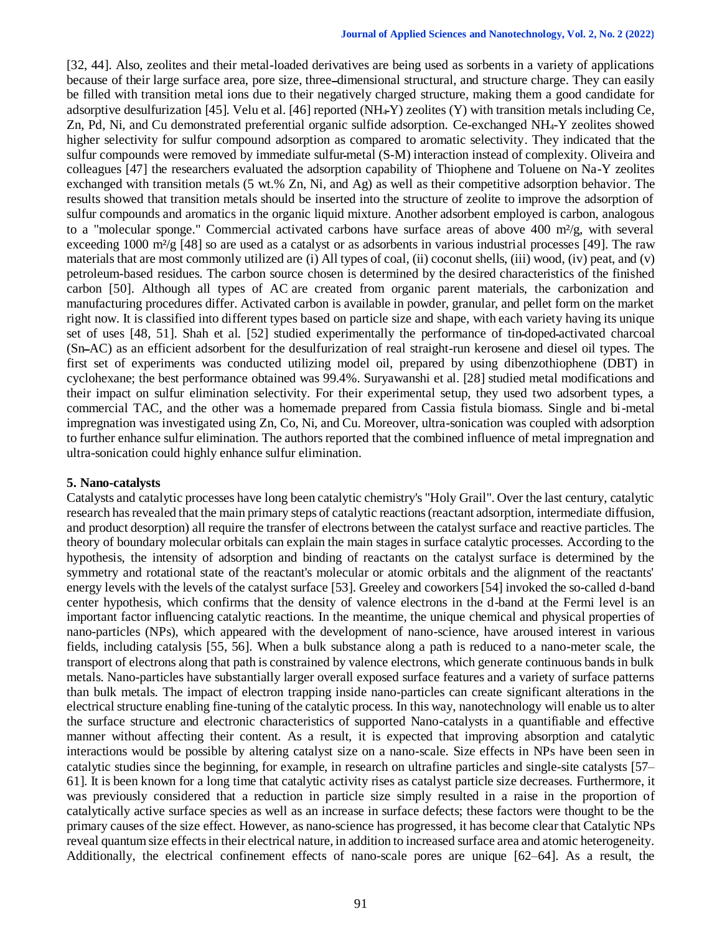[32, 44]. Also, zeolites and their metal-loaded derivatives are being used as sorbents in a variety of applications because of their large surface area, pore size, threeــdimensional structural, and structure charge. They can easily be filled with transition metal ions due to their negatively charged structure, making them a good candidate for adsorptive desulfurization [45]. Velu et al. [46] reported (NH4ـY) zeolites (Y) with transition metals including Ce, Zn, Pd, Ni, and Cu demonstrated preferential organic sulfide adsorption. Ce-exchanged NH4-Y zeolites showed higher selectivity for sulfur compound adsorption as compared to aromatic selectivity. They indicated that the sulfur compounds were removed by immediate sulfur-metal  $(S-M)$  interaction instead of complexity. Oliveira and colleagues [47] the researchers evaluated the adsorption capability of Thiophene and Toluene on Na-Y zeolites exchanged with transition metals (5 wt.% Zn, Ni, and Ag) as well as their competitive adsorption behavior. The results showed that transition metals should be inserted into the structure of zeolite to improve the adsorption of sulfur compounds and aromatics in the organic liquid mixture. Another adsorbent employed is carbon, analogous to a "molecular sponge." Commercial activated carbons have surface areas of above 400 m<sup>2</sup>/g, with several exceeding 1000 m<sup>2</sup>/g [48] so are used as a catalyst or as adsorbents in various industrial processes [49]. The raw materials that are most commonly utilized are (i) All types of coal, (ii) coconut shells, (iii) wood, (iv) peat, and (v) petroleum-based residues. The carbon source chosen is determined by the desired characteristics of the finished carbon [50]. Although all types of AC are created from organic parent materials, the carbonization and manufacturing procedures differ. Activated carbon is available in powder, granular, and pellet form on the market right now. It is classified into different types based on particle size and shape, with each variety having its unique set of uses [48, 51]. Shah et al. [52] studied experimentally the performance of tinـdopedـactivated charcoal (SnــAC) as an efficient adsorbent for the desulfurization of real straight-run kerosene and diesel oil types. The first set of experiments was conducted utilizing model oil, prepared by using dibenzothiophene (DBT) in cyclohexane; the best performance obtained was 99.4%. Suryawanshi et al. [28] studied metal modifications and their impact on sulfur elimination selectivity. For their experimental setup, they used two adsorbent types, a commercial TAC, and the other was a homemade prepared from Cassia fistula biomass. Single and bi-metal impregnation was investigated using Zn, Co, Ni, and Cu. Moreover, ultra-sonication was coupled with adsorption to further enhance sulfur elimination. The authors reported that the combined influence of metal impregnation and ultra-sonication could highly enhance sulfur elimination.

#### **5. Nano-catalysts**

Catalysts and catalytic processes have long been catalytic chemistry's "Holy Grail". Over the last century, catalytic research has revealed that the main primary steps of catalytic reactions (reactant adsorption, intermediate diffusion, and product desorption) all require the transfer of electrons between the catalyst surface and reactive particles. The theory of boundary molecular orbitals can explain the main stages in surface catalytic processes. According to the hypothesis, the intensity of adsorption and binding of reactants on the catalyst surface is determined by the symmetry and rotational state of the reactant's molecular or atomic orbitals and the alignment of the reactants' energy levels with the levels of the catalyst surface [53]. Greeley and coworkers [54] invoked the so-called d-band center hypothesis, which confirms that the density of valence electrons in the d-band at the Fermi level is an important factor influencing catalytic reactions. In the meantime, the unique chemical and physical properties of nano-particles (NPs), which appeared with the development of nano-science, have aroused interest in various fields, including catalysis [55, 56]. When a bulk substance along a path is reduced to a nano-meter scale, the transport of electrons along that path is constrained by valence electrons, which generate continuous bands in bulk metals. Nano-particles have substantially larger overall exposed surface features and a variety of surface patterns than bulk metals. The impact of electron trapping inside nano-particles can create significant alterations in the electrical structure enabling fine-tuning of the catalytic process. In this way, nanotechnology will enable us to alter the surface structure and electronic characteristics of supported Nano-catalysts in a quantifiable and effective manner without affecting their content. As a result, it is expected that improving absorption and catalytic interactions would be possible by altering catalyst size on a nano-scale. Size effects in NPs have been seen in catalytic studies since the beginning, for example, in research on ultrafine particles and single-site catalysts [57– 61]. It is been known for a long time that catalytic activity rises as catalyst particle size decreases. Furthermore, it was previously considered that a reduction in particle size simply resulted in a raise in the proportion of catalytically active surface species as well as an increase in surface defects; these factors were thought to be the primary causes of the size effect. However, as nano-science has progressed, it has become clear that Catalytic NPs reveal quantum size effects in their electrical nature, in addition to increased surface area and atomic heterogeneity. Additionally, the electrical confinement effects of nano-scale pores are unique [62–64]. As a result, the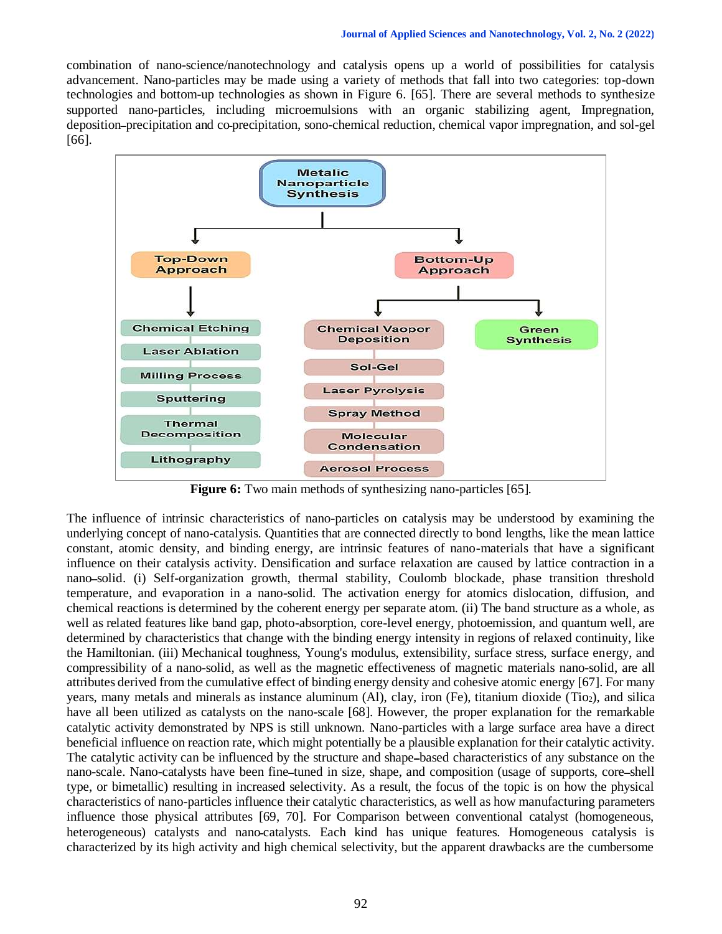combination of nano-science/nanotechnology and catalysis opens up a world of possibilities for catalysis advancement. Nano-particles may be made using a variety of methods that fall into two categories: top-down technologies and bottom-up technologies as shown in Figure 6. [65]. There are several methods to synthesize supported nano-particles, including microemulsions with an organic stabilizing agent, Impregnation, depositionــprecipitation and coـprecipitation, sono-chemical reduction, chemical vapor impregnation, and sol-gel [66].



**Figure 6:** Two main methods of synthesizing nano-particles [65].

The influence of intrinsic characteristics of nano-particles on catalysis may be understood by examining the underlying concept of nano-catalysis. Quantities that are connected directly to bond lengths, like the mean lattice constant, atomic density, and binding energy, are intrinsic features of nano-materials that have a significant influence on their catalysis activity. Densification and surface relaxation are caused by lattice contraction in a nanoــsolid. (i) Self-organization growth, thermal stability, Coulomb blockade, phase transition threshold temperature, and evaporation in a nano-solid. The activation energy for atomics dislocation, diffusion, and chemical reactions is determined by the coherent energy per separate atom. (ii) The band structure as a whole, as well as related features like band gap, photo-absorption, core-level energy, photoemission, and quantum well, are determined by characteristics that change with the binding energy intensity in regions of relaxed continuity, like the Hamiltonian. (iii) Mechanical toughness, Young's modulus, extensibility, surface stress, surface energy, and compressibility of a nano-solid, as well as the magnetic effectiveness of magnetic materials nano-solid, are all attributes derived from the cumulative effect of binding energy density and cohesive atomic energy [67]. For many years, many metals and minerals as instance aluminum (Al), clay, iron (Fe), titanium dioxide (Tio2), and silica have all been utilized as catalysts on the nano-scale [68]. However, the proper explanation for the remarkable catalytic activity demonstrated by NPS is still unknown. Nano-particles with a large surface area have a direct beneficial influence on reaction rate, which might potentially be a plausible explanation for their catalytic activity. The catalytic activity can be influenced by the structure and shapeــbased characteristics of any substance on the nano-scale. Nano-catalysts have been fine-tuned in size, shape, and composition (usage of supports, core-shell type, or bimetallic) resulting in increased selectivity. As a result, the focus of the topic is on how the physical characteristics of nano-particles influence their catalytic characteristics, as well as how manufacturing parameters influence those physical attributes [69, 70]. For Comparison between conventional catalyst (homogeneous, heterogeneous) catalysts and nano-catalysts. Each kind has unique features. Homogeneous catalysis is characterized by its high activity and high chemical selectivity, but the apparent drawbacks are the cumbersome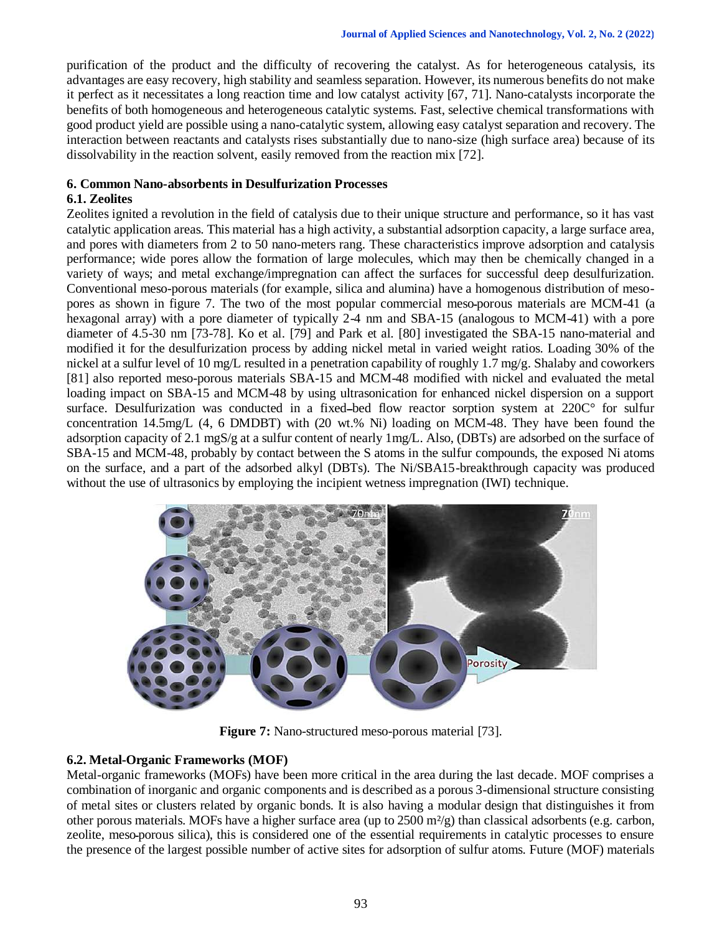purification of the product and the difficulty of recovering the catalyst. As for heterogeneous catalysis, its advantages are easy recovery, high stability and seamless separation. However, its numerous benefits do not make it perfect as it necessitates a long reaction time and low catalyst activity [67, 71]. Nano-catalysts incorporate the benefits of both homogeneous and heterogeneous catalytic systems. Fast, selective chemical transformations with good product yield are possible using a nano-catalytic system, allowing easy catalyst separation and recovery. The interaction between reactants and catalysts rises substantially due to nano-size (high surface area) because of its dissolvability in the reaction solvent, easily removed from the reaction mix [72].

## **6. Common Nano-absorbents in Desulfurization Processes**

# **6.1. Zeolites**

Zeolites ignited a revolution in the field of catalysis due to their unique structure and performance, so it has vast catalytic application areas. This material has a high activity, a substantial adsorption capacity, a large surface area, and pores with diameters from 2 to 50 nano-meters rang. These characteristics improve adsorption and catalysis performance; wide pores allow the formation of large molecules, which may then be chemically changed in a variety of ways; and metal exchange/impregnation can affect the surfaces for successful deep desulfurization. Conventional meso-porous materials (for example, silica and alumina) have a homogenous distribution of mesopores as shown in figure 7. The two of the most popular commercial meso-porous materials are MCM-41 (a hexagonal array) with a pore diameter of typically 2-4 nm and SBA-15 (analogous to MCM-41) with a pore diameter of 4.5-30 nm [73-78]. Ko et al. [79] and Park et al. [80] investigated the SBA-15 nano-material and modified it for the desulfurization process by adding nickel metal in varied weight ratios. Loading 30% of the nickel at a sulfur level of 10 mg/L resulted in a penetration capability of roughly 1.7 mg/g. Shalaby and coworkers [81] also reported meso-porous materials SBA-15 and MCM-48 modified with nickel and evaluated the metal loading impact on SBA-15 and MCM-48 by using ultrasonication for enhanced nickel dispersion on a support surface. Desulfurization was conducted in a fixed-bed flow reactor sorption system at  $220C^{\circ}$  for sulfur concentration 14.5mg/L (4, 6 DMDBT) with (20 wt.% Ni) loading on MCM-48. They have been found the adsorption capacity of 2.1 mgS/g at a sulfur content of nearly 1mg/L. Also, (DBTs) are adsorbed on the surface of SBA-15 and MCM-48, probably by contact between the S atoms in the sulfur compounds, the exposed Ni atoms on the surface, and a part of the adsorbed alkyl (DBTs). The Ni/SBA15-breakthrough capacity was produced without the use of ultrasonics by employing the incipient wetness impregnation (IWI) technique.



**Figure 7:** Nano-structured meso-porous material [73].

## **6.2. Metal-Organic Frameworks (MOF)**

Metal-organic frameworks (MOFs) have been more critical in the area during the last decade. MOF comprises a combination of inorganic and organic components and is described as a porous 3-dimensional structure consisting of metal sites or clusters related by organic bonds. It is also having a modular design that distinguishes it from other porous materials. MOFs have a higher surface area (up to  $2500 \text{ m}^2/\text{g}$ ) than classical adsorbents (e.g. carbon, zeolite, mesoـporous silica), this is considered one of the essential requirements in catalytic processes to ensure the presence of the largest possible number of active sites for adsorption of sulfur atoms. Future (MOF) materials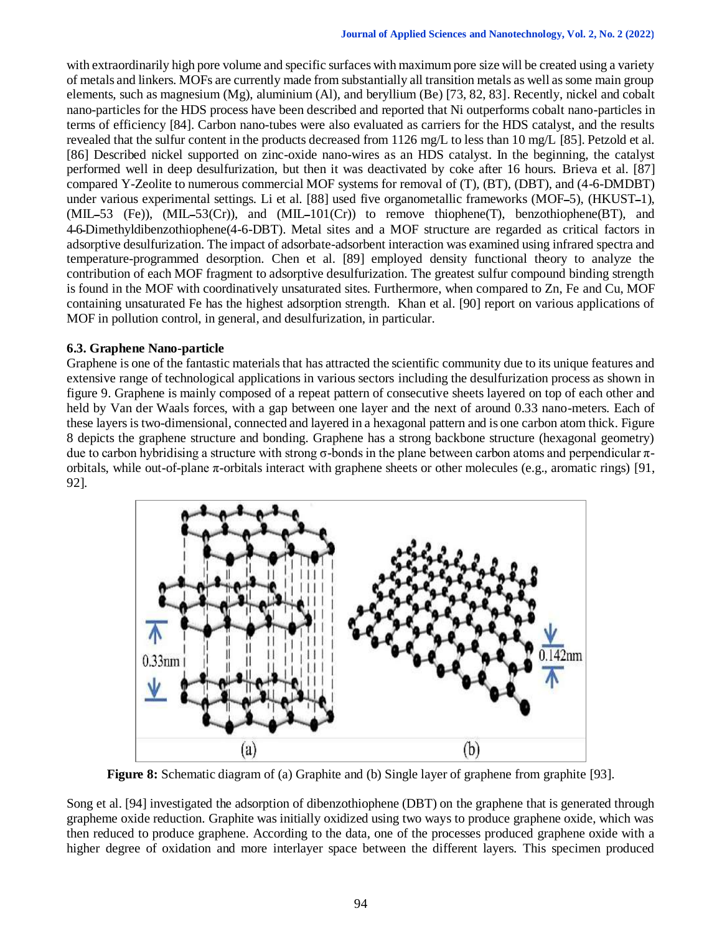with extraordinarily high pore volume and specific surfaces with maximum pore size will be created using a variety of metals and linkers. MOFs are currently made from substantially all transition metals as well as some main group elements, such as magnesium (Mg), aluminium (Al), and beryllium (Be) [73, 82, 83]. Recently, nickel and cobalt nano-particles for the HDS process have been described and reported that Ni outperforms cobalt nano-particles in terms of efficiency [84]. Carbon nano-tubes were also evaluated as carriers for the HDS catalyst, and the results revealed that the sulfur content in the products decreased from 1126 mg/L to less than 10 mg/L [85]. Petzold et al. [86] Described nickel supported on zinc-oxide nano-wires as an HDS catalyst. In the beginning, the catalyst performed well in deep desulfurization, but then it was deactivated by coke after 16 hours. Brieva et al. [87] compared Y-Zeolite to numerous commercial MOF systems for removal of (T), (BT), (DBT), and (4-6-DMDBT) under various experimental settings. Li et al. [88] used five organometallic frameworks (MOF–5), (HKUST–1),  $(MIL-53$  (Fe)),  $(MIL-53(Cr))$ , and  $(MIL-101(Cr))$  to remove thiophene(T), benzothiophene(BT), and 4ـ6ـDimethyldibenzothiophene(4-6-DBT). Metal sites and a MOF structure are regarded as critical factors in adsorptive desulfurization. The impact of adsorbate-adsorbent interaction was examined using infrared spectra and temperature-programmed desorption. Chen et al. [89] employed density functional theory to analyze the contribution of each MOF fragment to adsorptive desulfurization. The greatest sulfur compound binding strength is found in the MOF with coordinatively unsaturated sites. Furthermore, when compared to Zn, Fe and Cu, MOF containing unsaturated Fe has the highest adsorption strength. Khan et al. [90] report on various applications of MOF in pollution control, in general, and desulfurization, in particular.

## **6.3. Graphene Nano-particle**

Graphene is one of the fantastic materials that has attracted the scientific community due to its unique features and extensive range of technological applications in various sectors including the desulfurization process as shown in figure 9. Graphene is mainly composed of a repeat pattern of consecutive sheets layered on top of each other and held by Van der Waals forces, with a gap between one layer and the next of around 0.33 nano-meters. Each of these layers is two-dimensional, connected and layered in a hexagonal pattern and is one carbon atom thick. Figure 8 depicts the graphene structure and bonding. Graphene has a strong backbone structure (hexagonal geometry) due to carbon hybridising a structure with strong σ-bonds in the plane between carbon atoms and perpendicular  $π$ orbitals, while out-of-plane  $\pi$ -orbitals interact with graphene sheets or other molecules (e.g., aromatic rings) [91, 92].



**Figure 8:** Schematic diagram of (a) Graphite and (b) Single layer of graphene from graphite [93].

Song et al. [94] investigated the adsorption of dibenzothiophene (DBT) on the graphene that is generated through grapheme oxide reduction. Graphite was initially oxidized using two ways to produce graphene oxide, which was then reduced to produce graphene. According to the data, one of the processes produced graphene oxide with a higher degree of oxidation and more interlayer space between the different layers. This specimen produced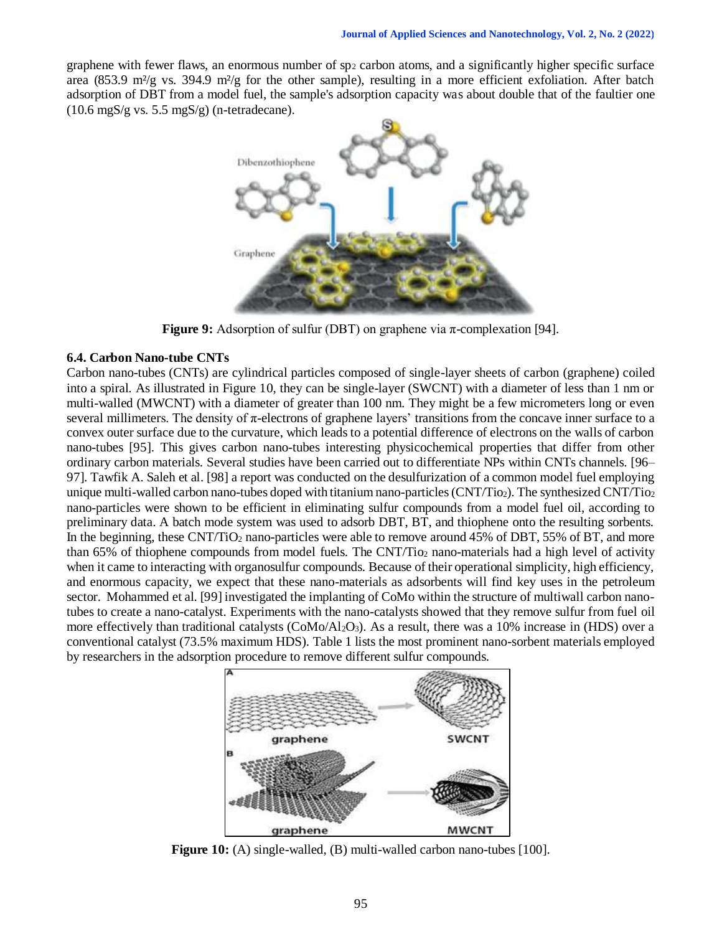graphene with fewer flaws, an enormous number of sp<sup>2</sup> carbon atoms, and a significantly higher specific surface area (853.9 m²/g vs. 394.9 m²/g for the other sample), resulting in a more efficient exfoliation. After batch adsorption of DBT from a model fuel, the sample's adsorption capacity was about double that of the faultier one (10.6 mgS/g vs. 5.5 mgS/g) (n-tetradecane).



**Figure 9:** Adsorption of sulfur (DBT) on graphene via π-complexation [94].

#### **6.4. Carbon Nano-tube CNTs**

Carbon nano-tubes (CNTs) are cylindrical particles composed of single-layer sheets of carbon (graphene) coiled into a spiral. As illustrated in Figure 10, they can be single-layer (SWCNT) with a diameter of less than 1 nm or multi-walled (MWCNT) with a diameter of greater than 100 nm. They might be a few micrometers long or even several millimeters. The density of  $\pi$ -electrons of graphene layers' transitions from the concave inner surface to a convex outer surface due to the curvature, which leads to a potential difference of electrons on the walls of carbon nano-tubes [95]. This gives carbon nano-tubes interesting physicochemical properties that differ from other ordinary carbon materials. Several studies have been carried out to differentiate NPs within CNTs channels. [96– 97]. Tawfik A. Saleh et al. [98] a report was conducted on the desulfurization of a common model fuel employing unique multi-walled carbon nano-tubes doped with titanium nano-particles (CNT/Tio2). The synthesized CNT/Tio2 nano-particles were shown to be efficient in eliminating sulfur compounds from a model fuel oil, according to preliminary data. A batch mode system was used to adsorb DBT, BT, and thiophene onto the resulting sorbents. In the beginning, these CNT/TiO<sub>2</sub> nano-particles were able to remove around 45% of DBT, 55% of BT, and more than 65% of thiophene compounds from model fuels. The CNT/Tio<sub>2</sub> nano-materials had a high level of activity when it came to interacting with organosulfur compounds. Because of their operational simplicity, high efficiency, and enormous capacity, we expect that these nano-materials as adsorbents will find key uses in the petroleum sector. Mohammed et al. [99] investigated the implanting of CoMo within the structure of multiwall carbon nanotubes to create a nano-catalyst. Experiments with the nano-catalysts showed that they remove sulfur from fuel oil more effectively than traditional catalysts (CoMo/Al2O3). As a result, there was a 10% increase in (HDS) over a conventional catalyst (73.5% maximum HDS). Table 1 lists the most prominent nano-sorbent materials employed by researchers in the adsorption procedure to remove different sulfur compounds.



**Figure 10:** (A) single-walled, (B) multi-walled carbon nano-tubes [100].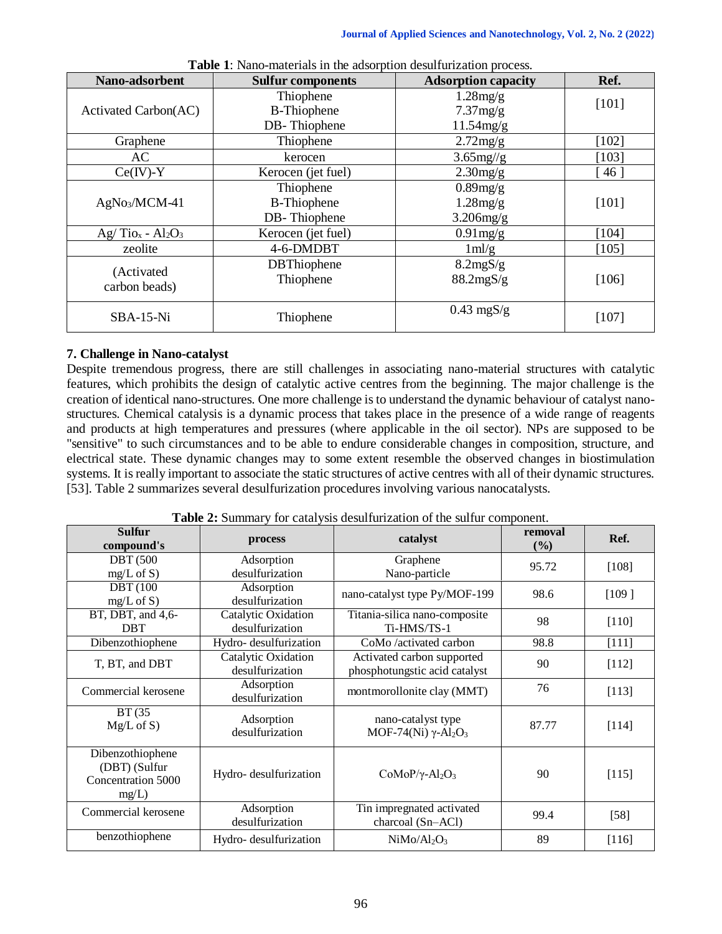| Nano-adsorbent               | <b>Sulfur components</b>                        | <b>Adsorption capacity</b>              | Ref.    |
|------------------------------|-------------------------------------------------|-----------------------------------------|---------|
| Activated Carbon(AC)         | Thiophene<br><b>B-Thiophene</b>                 | 1.28mg/g<br>7.37mg/g                    | [101]   |
|                              | DB-Thiophene                                    | 11.54mg/g                               |         |
| Graphene                     | Thiophene                                       | $2.72$ mg/g                             | $[102]$ |
| AC.                          | kerocen                                         | $3.65$ mg//g                            | $[103]$ |
| $Ce(IV)-Y$                   | Kerocen (jet fuel)                              | $2.30$ mg/g                             | 46      |
| AgNo <sub>3</sub> /MCM-41    | Thiophene<br><b>B-Thiophene</b><br>DB-Thiophene | $0.89$ mg/g<br>1.28mg/g<br>$3.206$ mg/g | $[101]$ |
| $Ag/Tio_x - Al_2O_3$         | Kerocen (jet fuel)                              | $0.91$ mg/g                             | $[104]$ |
| zeolite                      | 4-6-DMDBT                                       | $1 \text{ml/g}$                         | [105]   |
| (Activated)<br>carbon beads) | <b>DBThiophene</b><br>Thiophene                 | 8.2mgS/g<br>88.2mgS/g                   | $[106]$ |
| SBA-15-Ni                    | Thiophene                                       | $0.43$ mgS/g                            | $[107]$ |

**Table 1**: Nano-materials in the adsorption desulfurization process.

## **7. Challenge in Nano-catalyst**

Despite tremendous progress, there are still challenges in associating nano-material structures with catalytic features, which prohibits the design of catalytic active centres from the beginning. The major challenge is the creation of identical nano-structures. One more challenge is to understand the dynamic behaviour of catalyst nanostructures. Chemical catalysis is a dynamic process that takes place in the presence of a wide range of reagents and products at high temperatures and pressures (where applicable in the oil sector). NPs are supposed to be "sensitive" to such circumstances and to be able to endure considerable changes in composition, structure, and electrical state. These dynamic changes may to some extent resemble the observed changes in biostimulation systems. It is really important to associate the static structures of active centres with all of their dynamic structures. [53]. Table 2 summarizes several desulfurization procedures involving various nanocatalysts.

| <b>Sulfur</b><br>compound's | process               | catalyst                                            | removal<br>(%) | Ref.    |
|-----------------------------|-----------------------|-----------------------------------------------------|----------------|---------|
| <b>DBT</b> (500             | Adsorption            | Graphene                                            | 95.72          | [108]   |
| $mg/L$ of S)                | desulfurization       | Nano-particle                                       |                |         |
| <b>DBT</b> (100             | Adsorption            | nano-catalyst type Py/MOF-199                       | 98.6           | [109]   |
| $mg/L$ of S)                | desulfurization       |                                                     |                |         |
| BT, DBT, and 4,6-           | Catalytic Oxidation   | Titania-silica nano-composite<br>Ti-HMS/TS-1        | 98             | $[110]$ |
| <b>DBT</b>                  | desulfurization       |                                                     |                |         |
| Dibenzothiophene            | Hydro-desulfurization | CoMo /activated carbon                              | 98.8           | $[111]$ |
| T, BT, and DBT              | Catalytic Oxidation   | Activated carbon supported                          | 90             | $[112]$ |
|                             | desulfurization       | phosphotungstic acid catalyst                       |                |         |
| Commercial kerosene         | Adsorption            | montmorollonite clay (MMT)                          | 76             | [113]   |
|                             | desulfurization       |                                                     |                |         |
| BT (35                      | Adsorption            | nano-catalyst type                                  |                |         |
| $Mg/L$ of S)                | desulfurization       | MOF-74(Ni) $\gamma$ -Al <sub>2</sub> O <sub>3</sub> | 87.77          | [114]   |
|                             |                       |                                                     |                |         |
| Dibenzothiophene            |                       |                                                     |                |         |
| (DBT) (Sulfur               | Hydro-desulfurization | $CoMoP/\gamma$ -Al <sub>2</sub> O <sub>3</sub>      | 90             | [115]   |
| Concentration 5000          |                       |                                                     |                |         |
| mg/L)                       |                       |                                                     |                |         |
| Commercial kerosene         | Adsorption            | Tin impregnated activated                           | 99.4           | $[58]$  |
|                             | desulfurization       | charcoal (Sn-ACl)                                   |                |         |
| benzothiophene              | Hydro-desulfurization | NiMo/Al <sub>2</sub> O <sub>3</sub>                 | 89             | [116]   |

**Table 2:** Summary for catalysis desulfurization of the sulfur component.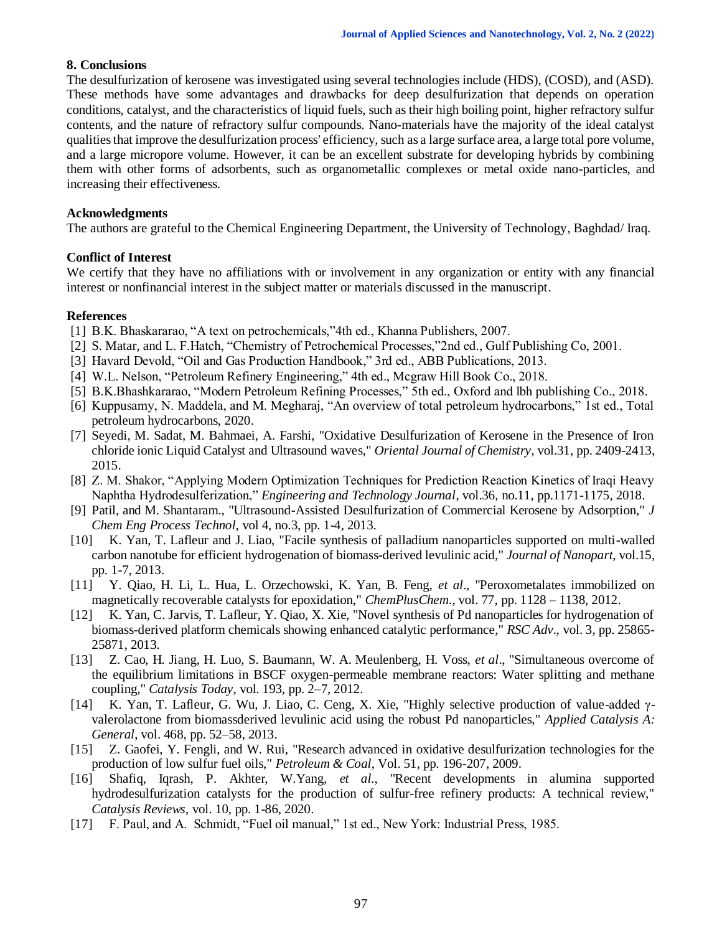## **8. Conclusions**

The desulfurization of kerosene was investigated using several technologies include (HDS), (COSD), and (ASD). These methods have some advantages and drawbacks for deep desulfurization that depends on operation conditions, catalyst, and the characteristics of liquid fuels, such as their high boiling point, higher refractory sulfur contents, and the nature of refractory sulfur compounds. Nano-materials have the majority of the ideal catalyst qualities that improve the desulfurization process' efficiency, such as a large surface area, a large total pore volume, and a large micropore volume. However, it can be an excellent substrate for developing hybrids by combining them with other forms of adsorbents, such as organometallic complexes or metal oxide nano-particles, and increasing their effectiveness.

## **Acknowledgments**

The authors are grateful to the Chemical Engineering Department, the University of Technology, Baghdad/ Iraq.

## **Conflict of Interest**

We certify that they have no affiliations with or involvement in any organization or entity with any financial interest or nonfinancial interest in the subject matter or materials discussed in the manuscript.

#### **References**

- [1] B.K. Bhaskararao, "A text on petrochemicals,"4th ed., Khanna Publishers, 2007.
- [2] S. Matar, and L. F.Hatch, "Chemistry of Petrochemical Processes,"2nd ed., Gulf Publishing Co, 2001.
- [3] Havard Devold, "Oil and Gas Production Handbook," 3rd ed., ABB Publications, 2013.
- [4] W.L. Nelson, "Petroleum Refinery Engineering," 4th ed., Mcgraw Hill Book Co., 2018.
- [5] B.K.Bhashkararao, "Modern Petroleum Refining Processes," 5th ed., Oxford and lbh publishing Co., 2018.
- [6] Kuppusamy, N. Maddela, and M. Megharaj, "An overview of total petroleum hydrocarbons," 1st ed., Total petroleum hydrocarbons, 2020.
- [7] Seyedi, M. Sadat, M. Bahmaei, A. Farshi, "Oxidative Desulfurization of Kerosene in the Presence of Iron chloride ionic Liquid Catalyst and Ultrasound waves," *Oriental Journal of Chemistry*, vol.31, pp. 2409-2413, 2015.
- [8] Z. M. Shakor, "Applying Modern Optimization Techniques for Prediction Reaction Kinetics of Iraqi Heavy Naphtha Hydrodesulferization," *Engineering and Technology Journal*, vol.36, no.11, pp.1171-1175, 2018.
- [9] Patil, and M. Shantaram., "Ultrasound-Assisted Desulfurization of Commercial Kerosene by Adsorption," *J Chem Eng Process Technol*, vol 4, no.3, pp. 1-4, 2013.
- [10] K. Yan, T. Lafleur and J. Liao, "Facile synthesis of palladium nanoparticles supported on multi-walled carbon nanotube for efficient hydrogenation of biomass-derived levulinic acid," *Journal of Nanopart*, vol.15, pp. 1-7, 2013.
- [11] Y. Qiao, H. Li, L. Hua, L. Orzechowski, K. Yan, B. Feng, *et al*., "Peroxometalates immobilized on magnetically recoverable catalysts for epoxidation," *ChemPlusChem*., vol. 77, pp. 1128 – 1138, 2012.
- [12] K. Yan, C. Jarvis, T. Lafleur, Y. Qiao, X. Xie, "Novel synthesis of Pd nanoparticles for hydrogenation of biomass-derived platform chemicals showing enhanced catalytic performance," *RSC Adv*., vol. 3, pp. 25865- 25871, 2013.
- [13] Z. Cao, H. Jiang, H. Luo, S. Baumann, W. A. Meulenberg, H. Voss, *et al*., "Simultaneous overcome of the equilibrium limitations in BSCF oxygen-permeable membrane reactors: Water splitting and methane coupling," *Catalysis Today*, vol. 193, pp. 2–7, 2012.
- [14] K. Yan, T. Lafleur, G. Wu, J. Liao, C. Ceng, X. Xie, "Highly selective production of value-added γvalerolactone from biomassderived levulinic acid using the robust Pd nanoparticles," *Applied Catalysis A: General*, vol. 468, pp. 52–58, 2013.
- [15] Z. Gaofei, Y. Fengli, and W. Rui, "Research advanced in oxidative desulfurization technologies for the production of low sulfur fuel oils," *Petroleum & Coal*, Vol. 51, pp. 196-207, 2009.
- [16] Shafiq, Iqrash, P. Akhter, W.Yang, *et al*., "Recent developments in alumina supported hydrodesulfurization catalysts for the production of sulfur-free refinery products: A technical review," *Catalysis Reviews*, vol. 10, pp. 1-86, 2020.
- [17] F. Paul, and A. Schmidt, "Fuel oil manual," 1st ed., New York: Industrial Press, 1985.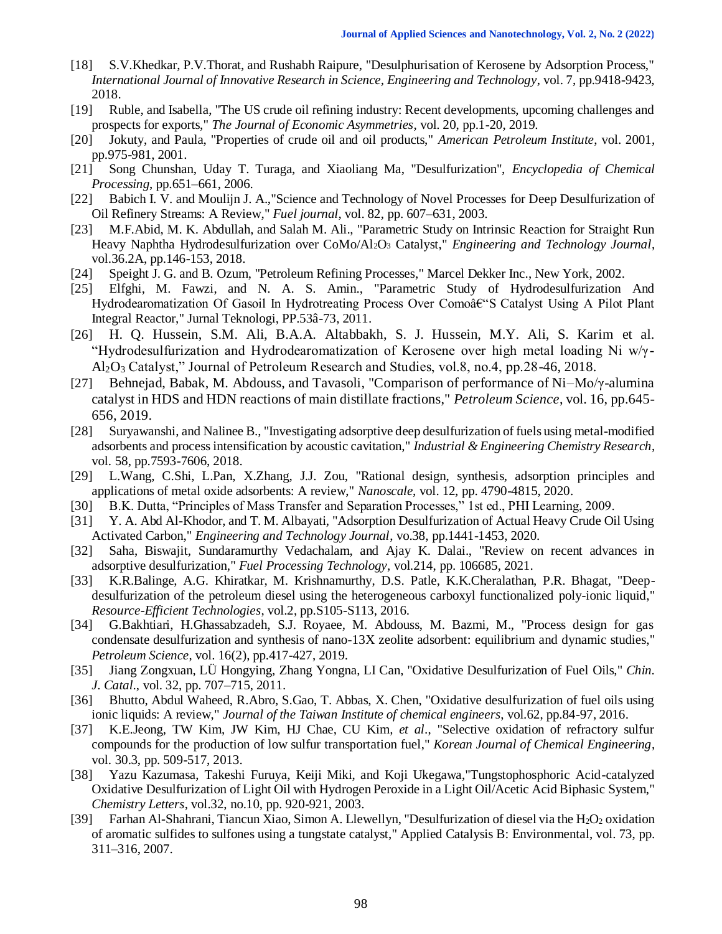- [18] S.V.Khedkar, P.V.Thorat, and Rushabh Raipure, "Desulphurisation of Kerosene by Adsorption Process," *International Journal of Innovative Research in Science, Engineering and Technology*, vol. 7, pp.9418-9423, 2018.
- [19] Ruble, and Isabella, "The US crude oil refining industry: Recent developments, upcoming challenges and prospects for exports," *The Journal of Economic Asymmetries*, vol. 20, pp.1-20, 2019.
- [20] Jokuty, and Paula, "Properties of crude oil and oil products," *American Petroleum Institute*, vol. 2001, pp.975-981, 2001.
- [21] Song Chunshan, Uday T. Turaga, and Xiaoliang Ma, "Desulfurization", *Encyclopedia of Chemical Processing*, pp.651–661, 2006.
- [22] Babich I. V. and Moulijn J. A.,"Science and Technology of Novel Processes for Deep Desulfurization of Oil Refinery Streams: A Review," *Fuel journal*, vol. 82, pp. 607–631, 2003.
- [23] M.F.Abid, M. K. Abdullah, and Salah M. Ali., "Parametric Study on Intrinsic Reaction for Straight Run Heavy Naphtha Hydrodesulfurization over CoMo/Al2O<sup>3</sup> Catalyst," *Engineering and Technology Journal*, vol.36.2A, pp.146-153, 2018.
- [24] Speight J. G. and B. Ozum, "Petroleum Refining Processes," Marcel Dekker Inc., New York, 2002.
- [25] Elfghi, M. Fawzi, and N. A. S. Amin., "Parametric Study of Hydrodesulfurization And Hydrodearomatization Of Gasoil In Hydrotreating Process Over Como–S Catalyst Using A Pilot Plant Integral Reactor," Jurnal Teknologi, PP.53â-73, 2011.
- [26] H. Q. Hussein, S.M. Ali, B.A.A. Altabbakh, S. J. Hussein, M.Y. Ali, S. Karim et al. "Hydrodesulfurization and Hydrodearomatization of Kerosene over high metal loading Ni w/γ-Al2O<sup>3</sup> Catalyst," Journal of Petroleum Research and Studies, vol.8, no.4, pp.28-46, 2018.
- [27] Behnejad, Babak, M. Abdouss, and Tavasoli, "Comparison of performance of Ni–Mo/γ-alumina catalyst in HDS and HDN reactions of main distillate fractions," *Petroleum Science*, vol. 16, pp.645- 656, 2019.
- [28] Suryawanshi, and Nalinee B., "Investigating adsorptive deep desulfurization of fuels using metal-modified adsorbents and process intensification by acoustic cavitation," *Industrial & Engineering Chemistry Research*, vol. 58, pp.7593-7606, 2018.
- [29] L.Wang, C.Shi, L.Pan, X.Zhang, J.J. Zou, "Rational design, synthesis, adsorption principles and applications of metal oxide adsorbents: A review," *Nanoscale*, vol. 12, pp. 4790-4815, 2020.
- [30] B.K. Dutta, "Principles of Mass Transfer and Separation Processes," 1st ed., PHI Learning, 2009.
- [31] Y. A. Abd Al-Khodor, and T. M. Albayati, "Adsorption Desulfurization of Actual Heavy Crude Oil Using Activated Carbon," *Engineering and Technology Journal*, vo.38, pp.1441-1453, 2020.
- [32] Saha, Biswajit, Sundaramurthy Vedachalam, and Ajay K. Dalai., "Review on recent advances in adsorptive desulfurization," *Fuel Processing Technology*, vol.214, pp. 106685, 2021.
- [33] K.R.Balinge, A.G. Khiratkar, M. Krishnamurthy, D.S. Patle, K.K.Cheralathan, P.R. Bhagat, "Deepdesulfurization of the petroleum diesel using the heterogeneous carboxyl functionalized poly-ionic liquid," *Resource-Efficient Technologies*, vol.2, pp.S105-S113, 2016.
- [34] G.Bakhtiari, H.Ghassabzadeh, S.J. Royaee, M. Abdouss, M. Bazmi, M., "Process design for gas condensate desulfurization and synthesis of nano-13X zeolite adsorbent: equilibrium and dynamic studies," *Petroleum Science*, vol. 16(2), pp.417-427, 2019.
- [35] Jiang Zongxuan, LÜ Hongying, Zhang Yongna, LI Can, "Oxidative Desulfurization of Fuel Oils," *Chin. J. Catal*., vol. 32, pp. 707–715, 2011.
- [36] Bhutto, Abdul Waheed, R.Abro, S.Gao, T. Abbas, X. Chen, "Oxidative desulfurization of fuel oils using ionic liquids: A review," *Journal of the Taiwan Institute of chemical engineers*, vol.62, pp.84-97, 2016.
- [37] K.E.Jeong, TW Kim, JW Kim, HJ Chae, CU Kim*, et al*., "Selective oxidation of refractory sulfur compounds for the production of low sulfur transportation fuel," *Korean Journal of Chemical Engineering*, vol. 30.3, pp. 509-517, 2013.
- [38] Yazu Kazumasa, Takeshi Furuya, Keiji Miki, and Koji Ukegawa,"Tungstophosphoric Acid-catalyzed Oxidative Desulfurization of Light Oil with Hydrogen Peroxide in a Light Oil/Acetic Acid Biphasic System," *Chemistry Letters*, vol.32, no.10, pp. 920-921, 2003.
- [39] Farhan Al-Shahrani, Tiancun Xiao, Simon A. Llewellyn, "Desulfurization of diesel via the H<sub>2</sub>O<sub>2</sub> oxidation of aromatic sulfides to sulfones using a tungstate catalyst," Applied Catalysis B: Environmental, vol. 73, pp. 311–316, 2007.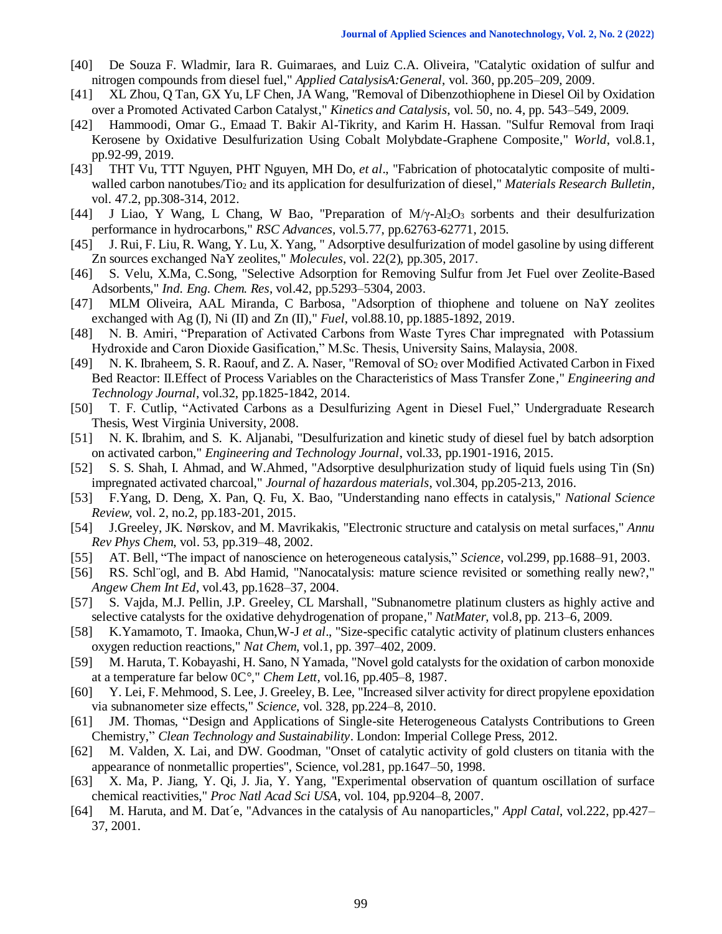- [40] De Souza F. Wladmir, Iara R. Guimaraes, and Luiz C.A. Oliveira, "Catalytic oxidation of sulfur and nitrogen compounds from diesel fuel," *Applied CatalysisA:General*, vol. 360, pp.205–209, 2009.
- [41] XL Zhou, Q Tan, GX Yu, LF Chen, JA Wang, "Removal of Dibenzothiophene in Diesel Oil by Oxidation over a Promoted Activated Carbon Catalyst," *Kinetics and Catalysis*, vol. 50, no. 4, pp. 543–549, 2009.
- [42] Hammoodi, Omar G., Emaad T. Bakir Al-Tikrity, and Karim H. Hassan. "Sulfur Removal from Iraqi Kerosene by Oxidative Desulfurization Using Cobalt Molybdate-Graphene Composite," *World*, vol.8.1, pp.92-99, 2019.
- [43] THT Vu, TTT Nguyen, PHT Nguyen, MH Do, *et al*., "Fabrication of photocatalytic composite of multiwalled carbon nanotubes/Tio<sub>2</sub> and its application for desulfurization of diesel," *Materials Research Bulletin,* vol. 47.2, pp.308-314, 2012.
- [44] J Liao, Y Wang, L Chang, W Bao, "Preparation of M/γ-Al2O<sup>3</sup> sorbents and their desulfurization performance in hydrocarbons," *RSC Advances,* vol.5.77, pp.62763-62771, 2015.
- [45] J. Rui, F. Liu, R. Wang, Y. Lu, X. Yang, " Adsorptive desulfurization of model gasoline by using different Zn sources exchanged NaY zeolites," *Molecules*, vol. 22(2), pp.305, 2017.
- [46] S. Velu, X.Ma, C.Song, "Selective Adsorption for Removing Sulfur from Jet Fuel over Zeolite-Based Adsorbents," *Ind. Eng. Chem. Res*, vol.42, pp.5293–5304, 2003.
- [47] MLM Oliveira, AAL Miranda, C Barbosa, "Adsorption of thiophene and toluene on NaY zeolites exchanged with Ag (I), Ni (II) and Zn (II)," *Fuel*, vol.88.10, pp.1885-1892, 2019.
- [48] N. B. Amiri, "Preparation of Activated Carbons from Waste Tyres Char impregnated with Potassium Hydroxide and Caron Dioxide Gasification," M.Sc. Thesis, University Sains, Malaysia, 2008.
- [49] N. K. Ibraheem, S. R. Raouf, and Z. A. Naser, "Removal of SO<sup>2</sup> over Modified Activated Carbon in Fixed Bed Reactor: II.Effect of Process Variables on the Characteristics of Mass Transfer Zone," *Engineering and Technology Journal*, vol.32, pp.1825-1842, 2014.
- [50] T. F. Cutlip, "Activated Carbons as a Desulfurizing Agent in Diesel Fuel," Undergraduate Research Thesis, West Virginia University, 2008.
- [51] N. K. Ibrahim, and S. K. Aljanabi, "Desulfurization and kinetic study of diesel fuel by batch adsorption on activated carbon," *Engineering and Technology Journal*, vol.33, pp.1901-1916, 2015.
- [52] S. S. Shah, I. Ahmad, and W.Ahmed, "Adsorptive desulphurization study of liquid fuels using Tin (Sn) impregnated activated charcoal," *Journal of hazardous materials*, vol.304, pp.205-213, 2016.
- [53] F.Yang, D. Deng, X. Pan, Q. Fu, X. Bao, "Understanding nano effects in catalysis," *National Science Review*, vol. 2, no.2, pp.183-201, 2015.
- [54] J.Greeley, JK. Nørskov, and M. Mavrikakis, "Electronic structure and catalysis on metal surfaces," *Annu Rev Phys Chem*, vol. 53, pp.319–48, 2002.
- [55] AT. Bell, "The impact of nanoscience on heterogeneous catalysis," *Science*, vol.299, pp.1688–91, 2003.
- [56] RS. Schl¨ogl, and B. Abd Hamid, "Nanocatalysis: mature science revisited or something really new?," *Angew Chem Int Ed*, vol.43, pp.1628–37, 2004.
- [57] S. Vajda, M.J. Pellin, J.P. Greeley, CL Marshall, "Subnanometre platinum clusters as highly active and selective catalysts for the oxidative dehydrogenation of propane," *NatMater*, vol.8, pp. 213–6, 2009.
- [58] K.Yamamoto, T. Imaoka, Chun,W-J *et al*., "Size-specific catalytic activity of platinum clusters enhances oxygen reduction reactions," *Nat Chem*, vol.1, pp. 397–402, 2009.
- [59] M. Haruta, T. Kobayashi, H. Sano, N Yamada, "Novel gold catalysts for the oxidation of carbon monoxide at a temperature far below 0C°," *Chem Lett*, vol.16, pp.405–8, 1987.
- [60] Y. Lei, F. Mehmood, S. Lee, J. Greeley, B. Lee, "Increased silver activity for direct propylene epoxidation via subnanometer size effects," *Science*, vol. 328, pp.224–8, 2010.
- [61] JM. Thomas, "Design and Applications of Single-site Heterogeneous Catalysts Contributions to Green Chemistry," *Clean Technology and Sustainability*. London: Imperial College Press, 2012.
- [62] M. Valden, X. Lai, and DW. Goodman, "Onset of catalytic activity of gold clusters on titania with the appearance of nonmetallic properties", Science, vol.281, pp.1647–50, 1998.
- [63] X. Ma, P. Jiang, Y. Qi, J. Jia, Y. Yang, "Experimental observation of quantum oscillation of surface chemical reactivities," *Proc Natl Acad Sci USA*, vol. 104, pp.9204–8, 2007.
- [64] M. Haruta, and M. Dat´e, "Advances in the catalysis of Au nanoparticles," *Appl Catal*, vol.222, pp.427– 37, 2001.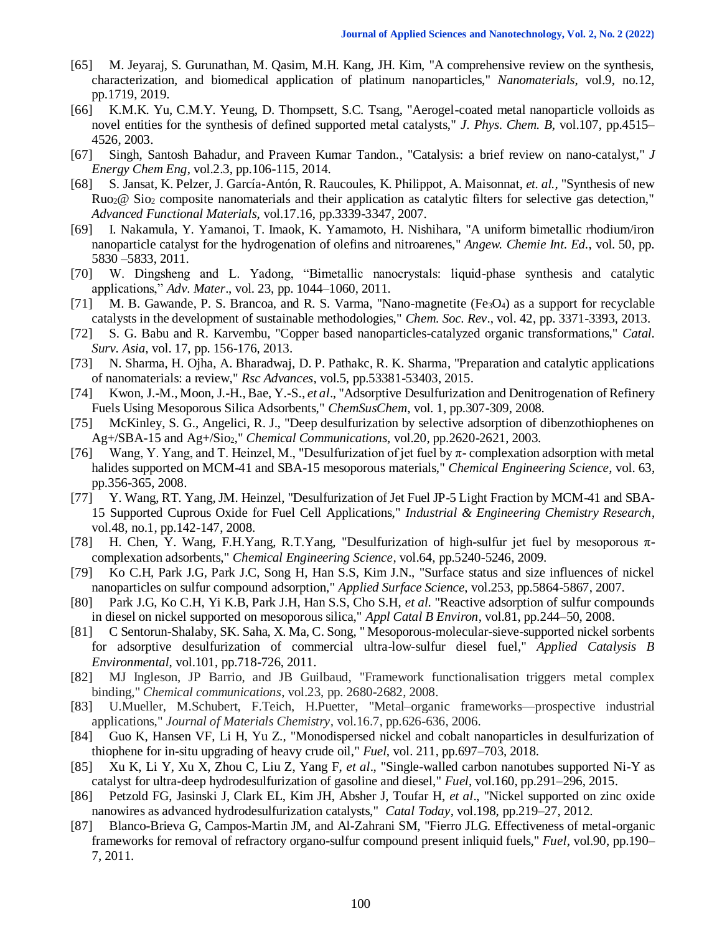- [65] M. Jeyaraj, S. Gurunathan, M. Qasim, M.H. Kang, JH. Kim, "A comprehensive review on the synthesis, characterization, and biomedical application of platinum nanoparticles," *Nanomaterials*, vol.9, no.12, pp.1719, 2019.
- [66] K.M.K. Yu, C.M.Y. Yeung, D. Thompsett, S.C. Tsang, "Aerogel-coated metal nanoparticle volloids as novel entities for the synthesis of defined supported metal catalysts," *J. Phys. Chem. B*, vol.107, pp.4515– 4526, 2003.
- [67] Singh, Santosh Bahadur, and Praveen Kumar Tandon., "Catalysis: a brief review on nano-catalyst," *J Energy Chem Eng*, vol.2.3, pp.106-115, 2014.
- [68] S. Jansat, K. Pelzer, J. García-Antón, R. Raucoules, K. Philippot, A. Maisonnat, *et. al.,* "Synthesis of new Ruo2@ Sio<sup>2</sup> composite nanomaterials and their application as catalytic filters for selective gas detection," *Advanced Functional Materials*, vol.17.16, pp.3339-3347, 2007.
- [69] I. Nakamula, Y. Yamanoi, T. Imaok, K. Yamamoto, H. Nishihara, "A uniform bimetallic rhodium/iron nanoparticle catalyst for the hydrogenation of olefins and nitroarenes," *Angew. Chemie Int. Ed.*, vol. 50, pp. 5830 –5833, 2011.
- [70] W. Dingsheng and L. Yadong, "Bimetallic nanocrystals: liquid-phase synthesis and catalytic applications," *Adv. Mater*., vol. 23, pp. 1044–1060, 2011.
- [71] M. B. Gawande, P. S. Brancoa, and R. S. Varma, "Nano-magnetite (Fe<sub>3</sub>O<sub>4</sub>) as a support for recyclable catalysts in the development of sustainable methodologies," *Chem. Soc. Rev*., vol. 42, pp. 3371-3393, 2013.
- [72] S. G. Babu and R. Karvembu, "Copper based nanoparticles-catalyzed organic transformations," *Catal. Surv. Asia*, vol. 17, pp. 156-176, 2013.
- [73] N. Sharma, H. Ojha, A. Bharadwaj, D. P. Pathakc, R. K. Sharma, "Preparation and catalytic applications of nanomaterials: a review," *Rsc Advances*, vol.5, pp.53381-53403, 2015.
- [74] Kwon, J.-M., Moon, J.-H., Bae, Y.-S., *et al*., "Adsorptive Desulfurization and Denitrogenation of Refinery Fuels Using Mesoporous Silica Adsorbents," *ChemSusChem*, vol. 1, pp.307-309, 2008.
- [75] McKinley, S. G., Angelici, R. J., "Deep desulfurization by selective adsorption of dibenzothiophenes on Ag+/SBA-15 and Ag+/Sio2," *Chemical Communications*, vol.20, pp.2620-2621, 2003.
- [76] Wang, Y. Yang, and T. Heinzel, M., "Desulfurization of jet fuel by π- complexation adsorption with metal halides supported on MCM-41 and SBA-15 mesoporous materials," *Chemical Engineering Science*, vol. 63, pp.356-365, 2008.
- [77] Y. Wang, RT. Yang, JM. Heinzel, "Desulfurization of Jet Fuel JP-5 Light Fraction by MCM-41 and SBA-15 Supported Cuprous Oxide for Fuel Cell Applications," *Industrial & Engineering Chemistry Research*, vol.48, no.1, pp.142-147, 2008.
- [78] H. Chen, Y. Wang, F.H.Yang, R.T.Yang, "Desulfurization of high-sulfur jet fuel by mesoporous πcomplexation adsorbents," *Chemical Engineering Science*, vol.64, pp.5240-5246, 2009.
- [79] Ko C.H, Park J.G, Park J.C, Song H, Han S.S, Kim J.N., "Surface status and size influences of nickel nanoparticles on sulfur compound adsorption," *Applied Surface Science*, vol.253, pp.5864-5867, 2007.
- [80] Park J.G, Ko C.H, Yi K.B, Park J.H, Han S.S, Cho S.H, *et al*. "Reactive adsorption of sulfur compounds in diesel on nickel supported on mesoporous silica," *Appl Catal B Environ*, vol.81, pp.244–50, 2008.
- [81] C Sentorun-Shalaby, SK. Saha, X. Ma, C. Song, " Mesoporous-molecular-sieve-supported nickel sorbents for adsorptive desulfurization of commercial ultra-low-sulfur diesel fuel," *Applied Catalysis B Environmental*, vol.101, pp.718-726, 2011.
- [82] MJ Ingleson, JP Barrio, and JB Guilbaud, "Framework functionalisation triggers metal complex binding," *Chemical communications*, vol.23, pp. 2680-2682, 2008.
- [83] U.Mueller, M.Schubert, F.Teich, H.Puetter, "Metal–organic frameworks—prospective industrial applications," *Journal of Materials Chemistry,* vol.16.7, pp.626-636, 2006.
- [84] Guo K, Hansen VF, Li H, Yu Z., "Monodispersed nickel and cobalt nanoparticles in desulfurization of thiophene for in-situ upgrading of heavy crude oil," *Fuel*, vol. 211, pp.697–703, 2018.
- [85] Xu K, Li Y, Xu X, Zhou C, Liu Z, Yang F, *et al*., "Single-walled carbon nanotubes supported Ni-Y as catalyst for ultra-deep hydrodesulfurization of gasoline and diesel," *Fuel*, vol.160, pp.291–296, 2015.
- [86] Petzold FG, Jasinski J, Clark EL, Kim JH, Absher J, Toufar H, *et al*., "Nickel supported on zinc oxide nanowires as advanced hydrodesulfurization catalysts," *Catal Today*, vol.198, pp.219–27, 2012.
- [87] Blanco-Brieva G, Campos-Martin JM, and Al-Zahrani SM, "Fierro JLG. Effectiveness of metal-organic frameworks for removal of refractory organo-sulfur compound present inliquid fuels," *Fuel*, vol.90, pp.190– 7, 2011.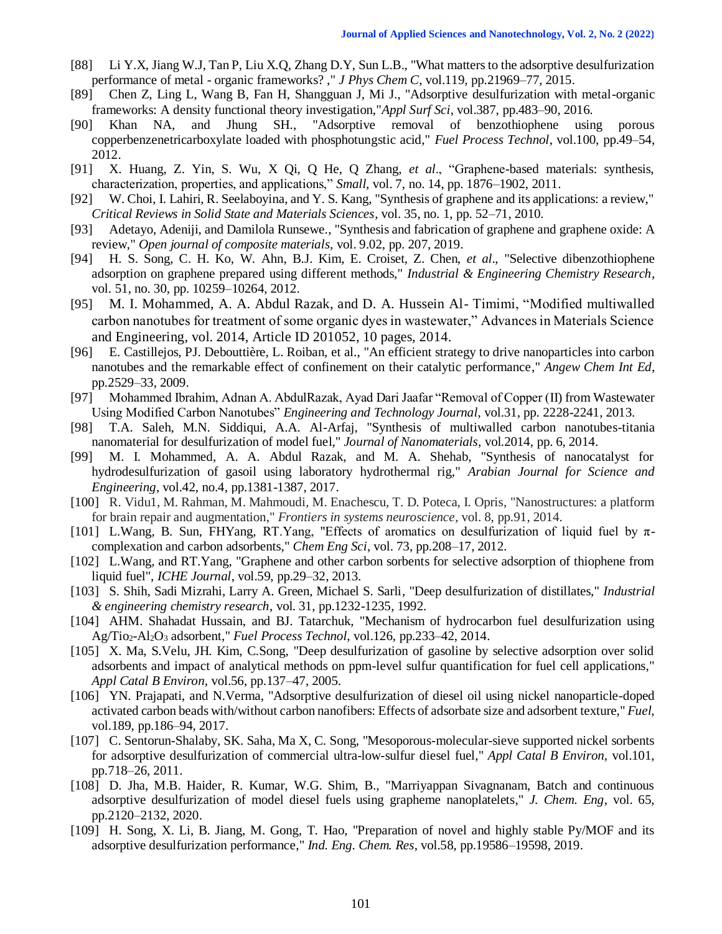- [88] Li Y.X, Jiang W.J, Tan P, Liu X.Q, Zhang D.Y, Sun L.B., "What matters to the adsorptive desulfurization performance of metal - organic frameworks? ," *J Phys Chem C*, vol.119, pp.21969–77, 2015.
- [89] Chen Z, Ling L, Wang B, Fan H, Shangguan J, Mi J., "Adsorptive desulfurization with metal-organic frameworks: A density functional theory investigation,"*Appl Surf Sci*, vol.387, pp.483–90, 2016.
- [90] Khan NA, and Jhung SH., "Adsorptive removal of benzothiophene using porous copperbenzenetricarboxylate loaded with phosphotungstic acid," *Fuel Process Technol*, vol.100, pp.49–54, 2012.
- [91] X. Huang, Z. Yin, S. Wu, X Qi, Q He, Q Zhang, *et al*., "Graphene-based materials: synthesis, characterization, properties, and applications," *Small*, vol. 7, no. 14, pp. 1876–1902, 2011.
- [92] W. Choi, I. Lahiri, R. Seelaboyina, and Y. S. Kang, "Synthesis of graphene and its applications: a review," *Critical Reviews in Solid State and Materials Sciences*, vol. 35, no. 1, pp. 52–71, 2010.
- [93] Adetayo, Adeniji, and Damilola Runsewe., "Synthesis and fabrication of graphene and graphene oxide: A review," *Open journal of composite materials*, vol. 9.02, pp. 207, 2019.
- [94] H. S. Song, C. H. Ko, W. Ahn, B.J. Kim, E. Croiset, Z. Chen, *et al*., "Selective dibenzothiophene adsorption on graphene prepared using different methods," *Industrial & Engineering Chemistry Research*, vol. 51, no. 30, pp. 10259–10264, 2012.
- [95] M. I. Mohammed, A. A. Abdul Razak, and D. A. Hussein Al- Timimi, "Modified multiwalled carbon nanotubes for treatment of some organic dyes in wastewater," Advances in Materials Science and Engineering, vol. 2014, Article ID 201052, 10 pages, 2014.
- [96] E. Castillejos, PJ. Debouttière, L. Roiban, et al., "An efficient strategy to drive nanoparticles into carbon nanotubes and the remarkable effect of confinement on their catalytic performance," *Angew Chem Int Ed*, pp.2529–33, 2009.
- [97] Mohammed Ibrahim, Adnan A. AbdulRazak, Ayad Dari Jaafar "Removal of Copper (II) from Wastewater Using Modified Carbon Nanotubes" *Engineering and Technology Journal*, vol.31, pp. 2228-2241, 2013.
- [98] T.A. Saleh, M.N. Siddiqui, A.A. Al-Arfaj, "Synthesis of multiwalled carbon nanotubes-titania nanomaterial for desulfurization of model fuel," *Journal of Nanomaterials*, vol.2014, pp. 6, 2014.
- [99] M. I. Mohammed, A. A. Abdul Razak, and M. A. Shehab, "Synthesis of nanocatalyst for hydrodesulfurization of gasoil using laboratory hydrothermal rig," *Arabian Journal for Science and Engineering*, vol.42, no.4, pp.1381-1387, 2017.
- [100] R. Vidu1, M. Rahman, M. Mahmoudi, M. Enachescu, T. D. Poteca, I. Opris, "Nanostructures: a platform for brain repair and augmentation," *Frontiers in systems neuroscience*, vol. 8, pp.91, 2014.
- [101] L.Wang, B. Sun, FHYang, RT.Yang, "Effects of aromatics on desulfurization of liquid fuel by πcomplexation and carbon adsorbents," *Chem Eng Sci*, vol. 73, pp.208–17, 2012.
- [102] L.Wang, and RT.Yang, "Graphene and other carbon sorbents for selective adsorption of thiophene from liquid fuel", *ICHE Journal*, vol.59, pp.29–32, 2013.
- [103] S. Shih, Sadi Mizrahi, Larry A. Green, Michael S. Sarli, "Deep desulfurization of distillates," *Industrial & engineering chemistry research*, vol. 31, pp.1232-1235, 1992.
- [104] AHM. Shahadat Hussain, and BJ. Tatarchuk, "Mechanism of hydrocarbon fuel desulfurization using Ag/Tio2-Al2O<sup>3</sup> adsorbent," *Fuel Process Technol*, vol.126, pp.233–42, 2014.
- [105] X. Ma, S.Velu, JH. Kim, C.Song, "Deep desulfurization of gasoline by selective adsorption over solid adsorbents and impact of analytical methods on ppm-level sulfur quantification for fuel cell applications," *Appl Catal B Environ*, vol.56, pp.137–47, 2005.
- [106] YN. Prajapati, and N.Verma, "Adsorptive desulfurization of diesel oil using nickel nanoparticle-doped activated carbon beads with/without carbon nanofibers: Effects of adsorbate size and adsorbent texture," *Fuel,* vol.189, pp.186–94, 2017.
- [107] C. Sentorun-Shalaby, SK. Saha, Ma X, C. Song, "Mesoporous-molecular-sieve supported nickel sorbents for adsorptive desulfurization of commercial ultra-low-sulfur diesel fuel," *Appl Catal B Environ*, vol.101, pp.718–26, 2011.
- [108] D. Jha, M.B. Haider, R. Kumar, W.G. Shim, B., "Marriyappan Sivagnanam, Batch and continuous adsorptive desulfurization of model diesel fuels using grapheme nanoplatelets," *J. Chem. Eng*, vol. 65, pp.2120–2132, 2020.
- [109] H. Song, X. Li, B. Jiang, M. Gong, T. Hao, "Preparation of novel and highly stable Py/MOF and its adsorptive desulfurization performance," *Ind. Eng. Chem. Res*, vol.58, pp.19586–19598, 2019.